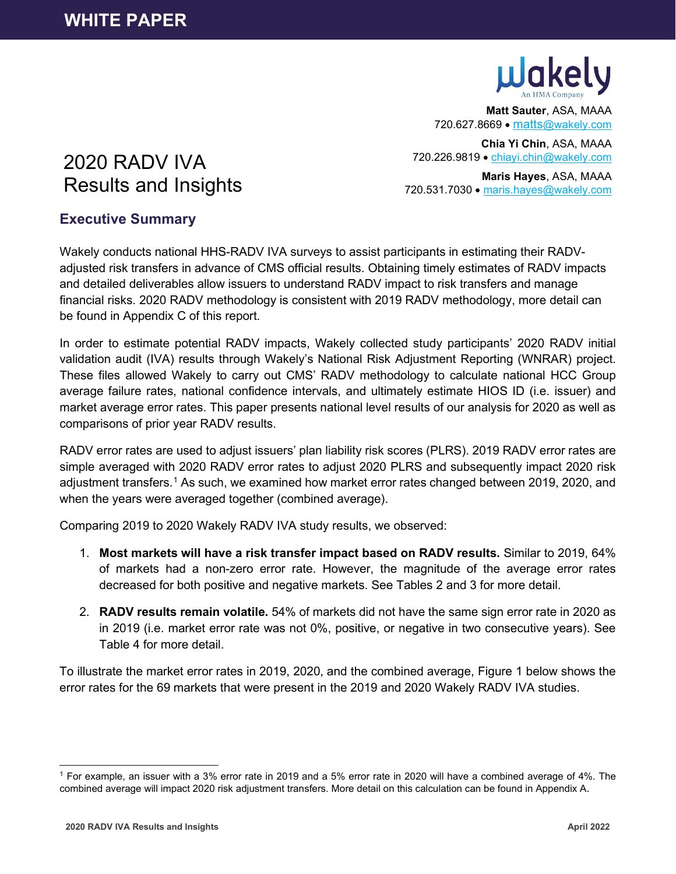

**Matt Sauter**, ASA, MAAA 720.627.8669 • [matts@wakely.com](mailto:matts@wakely.com)

**Chia Yi Chin**, ASA, MAAA 720.226.9819 • [chiayi.chin@wakely.com](mailto:chiayi.chin@wakely.com)

**Maris Hayes**, ASA, MAAA 720.531.7030 • [maris.hayes@wakely.com](mailto:maris.hayes@wakely.com)

# 2020 RADV IVA Results and Insights

## **Executive Summary**

Wakely conducts national HHS-RADV IVA surveys to assist participants in estimating their RADVadjusted risk transfers in advance of CMS official results. Obtaining timely estimates of RADV impacts and detailed deliverables allow issuers to understand RADV impact to risk transfers and manage financial risks. 2020 RADV methodology is consistent with 2019 RADV methodology, more detail can be found in Appendix C of this report.

In order to estimate potential RADV impacts, Wakely collected study participants' 2020 RADV initial validation audit (IVA) results through Wakely's National Risk Adjustment Reporting (WNRAR) project. These files allowed Wakely to carry out CMS' RADV methodology to calculate national HCC Group average failure rates, national confidence intervals, and ultimately estimate HIOS ID (i.e. issuer) and market average error rates. This paper presents national level results of our analysis for 2020 as well as comparisons of prior year RADV results.

RADV error rates are used to adjust issuers' plan liability risk scores (PLRS). 2019 RADV error rates are simple averaged with 2020 RADV error rates to adjust 2020 PLRS and subsequently impact 2020 risk adjustment transfers.<sup>[1](#page-0-0)</sup> As such, we examined how market error rates changed between 2019, 2020, and when the years were averaged together (combined average).

Comparing 2019 to 2020 Wakely RADV IVA study results, we observed:

- 1. **Most markets will have a risk transfer impact based on RADV results.** Similar to 2019, 64% of markets had a non-zero error rate. However, the magnitude of the average error rates decreased for both positive and negative markets. See Tables 2 and 3 for more detail.
- 2. **RADV results remain volatile.** 54% of markets did not have the same sign error rate in 2020 as in 2019 (i.e. market error rate was not 0%, positive, or negative in two consecutive years). See Table 4 for more detail.

To illustrate the market error rates in 2019, 2020, and the combined average, Figure 1 below shows the error rates for the 69 markets that were present in the 2019 and 2020 Wakely RADV IVA studies.

<span id="page-0-0"></span><sup>1</sup> For example, an issuer with a 3% error rate in 2019 and a 5% error rate in 2020 will have a combined average of 4%. The combined average will impact 2020 risk adjustment transfers. More detail on this calculation can be found in Appendix A.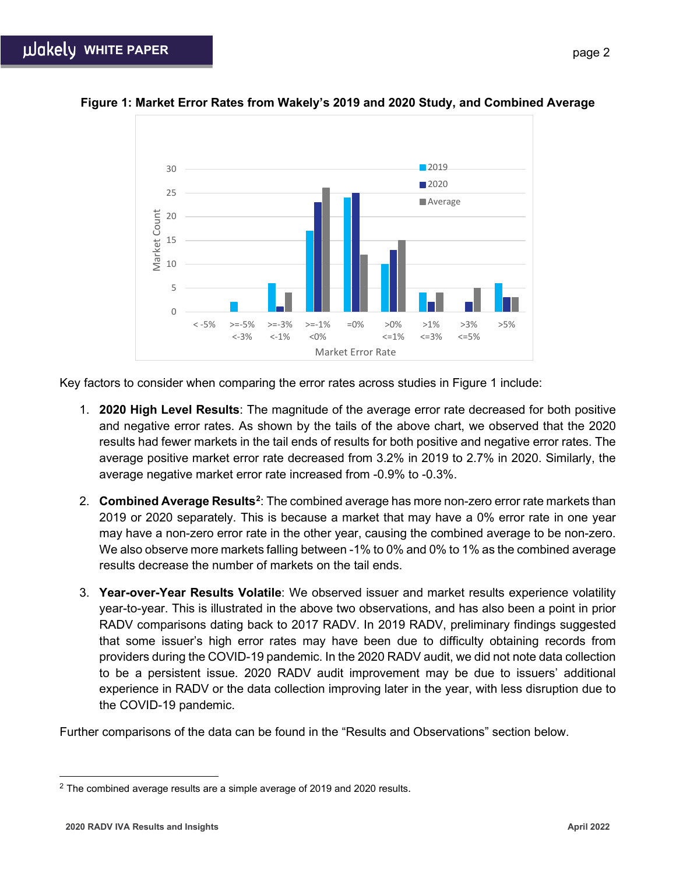

## **Figure 1: Market Error Rates from Wakely's 2019 and 2020 Study, and Combined Average**

Key factors to consider when comparing the error rates across studies in Figure 1 include:

- 1. **2020 High Level Results**: The magnitude of the average error rate decreased for both positive and negative error rates. As shown by the tails of the above chart, we observed that the 2020 results had fewer markets in the tail ends of results for both positive and negative error rates. The average positive market error rate decreased from 3.2% in 2019 to 2.7% in 2020. Similarly, the average negative market error rate increased from -0.9% to -0.3%.
- 2. **Combined Average Results[2](#page-1-0)** : The combined average has more non-zero error rate markets than 2019 or 2020 separately. This is because a market that may have a 0% error rate in one year may have a non-zero error rate in the other year, causing the combined average to be non-zero. We also observe more markets falling between -1% to 0% and 0% to 1% as the combined average results decrease the number of markets on the tail ends.
- 3. **Year-over-Year Results Volatile**: We observed issuer and market results experience volatility year-to-year. This is illustrated in the above two observations, and has also been a point in prior RADV comparisons dating back to 2017 RADV. In 2019 RADV, preliminary findings suggested that some issuer's high error rates may have been due to difficulty obtaining records from providers during the COVID-19 pandemic. In the 2020 RADV audit, we did not note data collection to be a persistent issue. 2020 RADV audit improvement may be due to issuers' additional experience in RADV or the data collection improving later in the year, with less disruption due to the COVID-19 pandemic.

Further comparisons of the data can be found in the "Results and Observations" section below.

<span id="page-1-0"></span> $2$  The combined average results are a simple average of 2019 and 2020 results.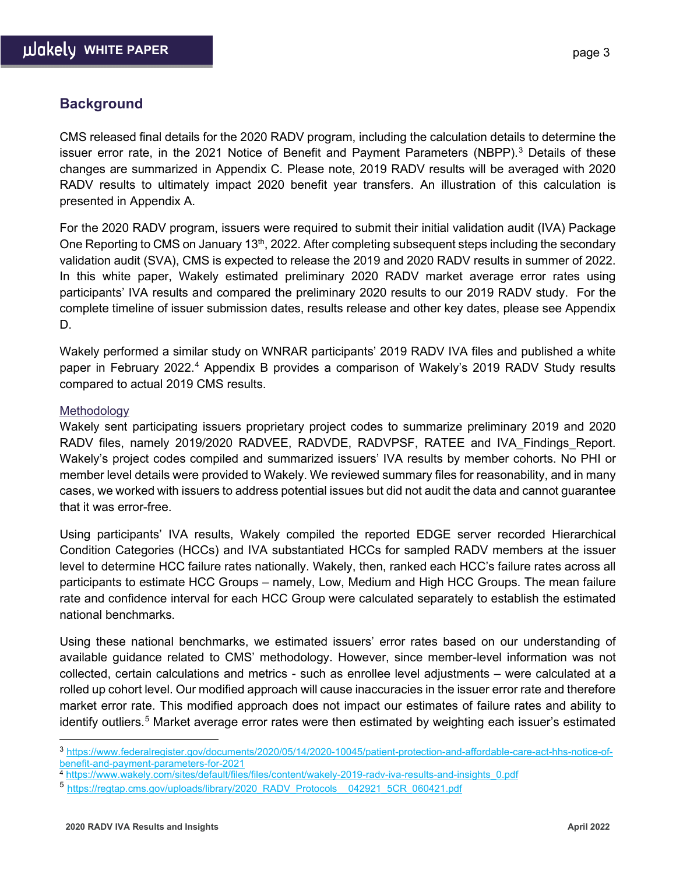## **Background**

CMS released final details for the 2020 RADV program, including the calculation details to determine the issuer error rate, in the 2021 Notice of Benefit and Payment Parameters (NBPP). $3$  Details of these changes are summarized in Appendix C. Please note, 2019 RADV results will be averaged with 2020 RADV results to ultimately impact 2020 benefit year transfers. An illustration of this calculation is presented in Appendix A.

For the 2020 RADV program, issuers were required to submit their initial validation audit (IVA) Package One Reporting to CMS on January 13<sup>th</sup>, 2022. After completing subsequent steps including the secondary validation audit (SVA), CMS is expected to release the 2019 and 2020 RADV results in summer of 2022. In this white paper, Wakely estimated preliminary 2020 RADV market average error rates using participants' IVA results and compared the preliminary 2020 results to our 2019 RADV study. For the complete timeline of issuer submission dates, results release and other key dates, please see Appendix D.

Wakely performed a similar study on WNRAR participants' 2019 RADV IVA files and published a white paper in February 2022.[4](#page-2-1) Appendix B provides a comparison of Wakely's 2019 RADV Study results compared to actual 2019 CMS results.

#### **Methodology**

Wakely sent participating issuers proprietary project codes to summarize preliminary 2019 and 2020 RADV files, namely 2019/2020 RADVEE, RADVDE, RADVPSF, RATEE and IVA Findings Report. Wakely's project codes compiled and summarized issuers' IVA results by member cohorts. No PHI or member level details were provided to Wakely. We reviewed summary files for reasonability, and in many cases, we worked with issuers to address potential issues but did not audit the data and cannot guarantee that it was error-free.

Using participants' IVA results, Wakely compiled the reported EDGE server recorded Hierarchical Condition Categories (HCCs) and IVA substantiated HCCs for sampled RADV members at the issuer level to determine HCC failure rates nationally. Wakely, then, ranked each HCC's failure rates across all participants to estimate HCC Groups – namely, Low, Medium and High HCC Groups. The mean failure rate and confidence interval for each HCC Group were calculated separately to establish the estimated national benchmarks.

Using these national benchmarks, we estimated issuers' error rates based on our understanding of available guidance related to CMS' methodology. However, since member-level information was not collected, certain calculations and metrics - such as enrollee level adjustments – were calculated at a rolled up cohort level. Our modified approach will cause inaccuracies in the issuer error rate and therefore market error rate. This modified approach does not impact our estimates of failure rates and ability to identify outliers.[5](#page-2-2) Market average error rates were then estimated by weighting each issuer's estimated

<span id="page-2-0"></span><sup>3</sup> [https://www.federalregister.gov/documents/2020/05/14/2020-10045/patient-protection-and-affordable-care-act-hhs-notice-of](https://www.federalregister.gov/documents/2020/05/14/2020-10045/patient-protection-and-affordable-care-act-hhs-notice-of-benefit-and-payment-parameters-for-2021)[benefit-and-payment-parameters-for-2021](https://www.federalregister.gov/documents/2020/05/14/2020-10045/patient-protection-and-affordable-care-act-hhs-notice-of-benefit-and-payment-parameters-for-2021)

<span id="page-2-1"></span><sup>4</sup> [https://www.wakely.com/sites/default/files/files/content/wakely-2019-radv-iva-results-and-insights\\_0.pdf](https://www.wakely.com/sites/default/files/files/content/wakely-2019-radv-iva-results-and-insights_0.pdf)

<span id="page-2-2"></span><sup>5</sup> [https://regtap.cms.gov/uploads/library/2020\\_RADV\\_Protocols\\_\\_042921\\_5CR\\_060421.pdf](https://regtap.cms.gov/uploads/library/2020_RADV_Protocols__042921_5CR_060421.pdf)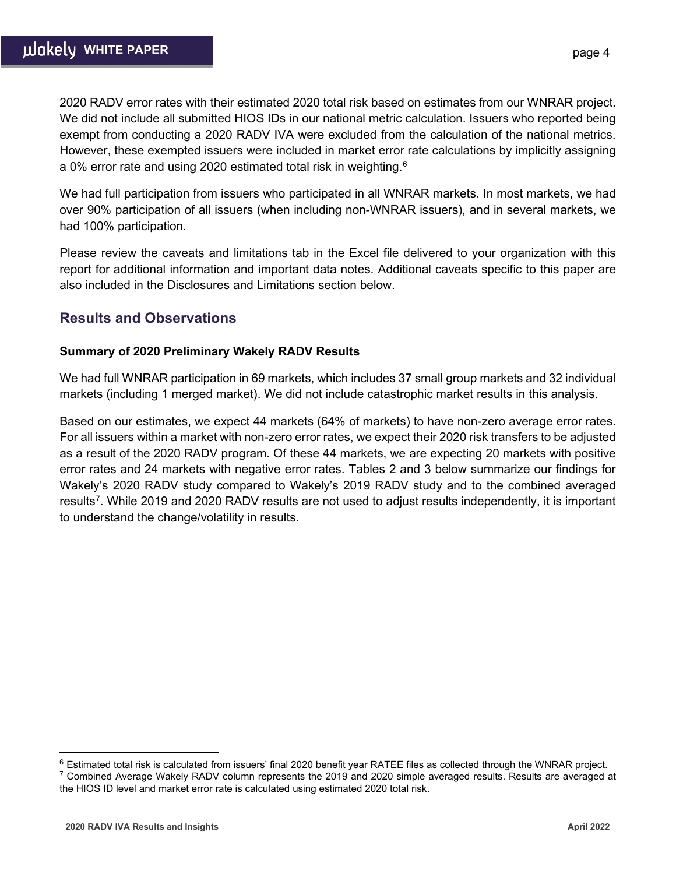2020 RADV error rates with their estimated 2020 total risk based on estimates from our WNRAR project. We did not include all submitted HIOS IDs in our national metric calculation. Issuers who reported being exempt from conducting a 2020 RADV IVA were excluded from the calculation of the national metrics. However, these exempted issuers were included in market error rate calculations by implicitly assigning a 0% error rate and using 2020 estimated total risk in weighting.<sup>[6](#page-3-0)</sup>

We had full participation from issuers who participated in all WNRAR markets. In most markets, we had over 90% participation of all issuers (when including non-WNRAR issuers), and in several markets, we had 100% participation.

Please review the caveats and limitations tab in the Excel file delivered to your organization with this report for additional information and important data notes. Additional caveats specific to this paper are also included in the Disclosures and Limitations section below.

## **Results and Observations**

## **Summary of 2020 Preliminary Wakely RADV Results**

We had full WNRAR participation in 69 markets, which includes 37 small group markets and 32 individual markets (including 1 merged market). We did not include catastrophic market results in this analysis.

Based on our estimates, we expect 44 markets (64% of markets) to have non-zero average error rates. For all issuers within a market with non-zero error rates, we expect their 2020 risk transfers to be adjusted as a result of the 2020 RADV program. Of these 44 markets, we are expecting 20 markets with positive error rates and 24 markets with negative error rates. Tables 2 and 3 below summarize our findings for Wakely's 2020 RADV study compared to Wakely's 2019 RADV study and to the combined averaged results<sup>[7](#page-3-1)</sup>. While 2019 and 2020 RADV results are not used to adjust results independently, it is important to understand the change/volatility in results.

page 4

<span id="page-3-0"></span> $6$  Estimated total risk is calculated from issuers' final 2020 benefit year RATEE files as collected through the WNRAR project.

<span id="page-3-1"></span> $7$  Combined Average Wakely RADV column represents the 2019 and 2020 simple averaged results. Results are averaged at the HIOS ID level and market error rate is calculated using estimated 2020 total risk.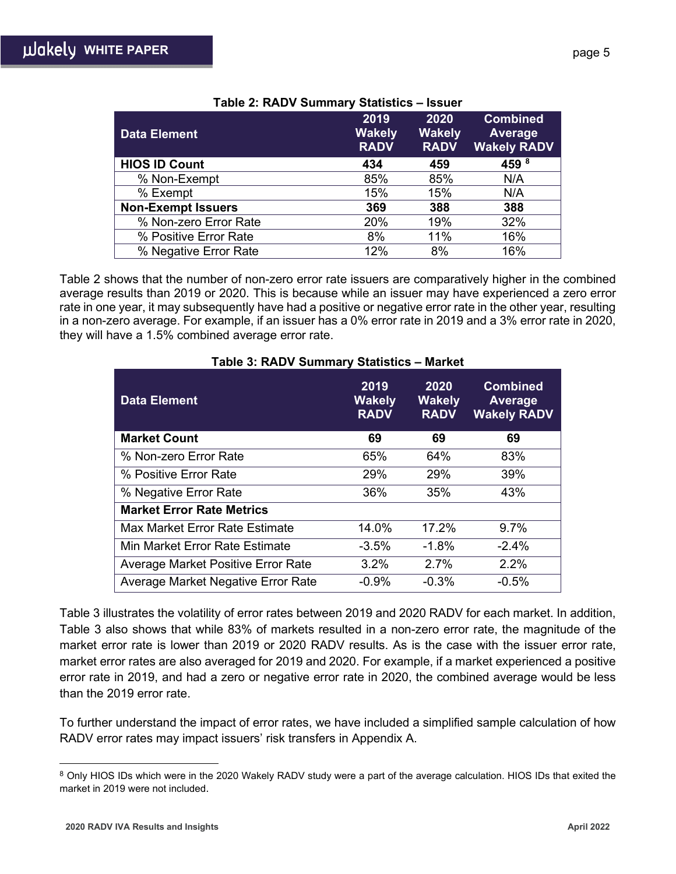| <b>Data Element</b>       | 2019<br><b>Wakely</b><br><b>RADV</b> | 2020<br><b>Wakely</b><br><b>RADV</b> | <b>Combined</b><br>Average<br><b>Wakely RADV</b> |
|---------------------------|--------------------------------------|--------------------------------------|--------------------------------------------------|
| <b>HIOS ID Count</b>      | 434                                  | 459                                  | 459 8                                            |
| % Non-Exempt              | 85%                                  | 85%                                  | N/A                                              |
| % Exempt                  | 15%                                  | 15%                                  | N/A                                              |
| <b>Non-Exempt Issuers</b> | 369                                  | 388                                  | 388                                              |
| % Non-zero Error Rate     | 20%                                  | 19%                                  | 32%                                              |
| % Positive Error Rate     | 8%                                   | 11%                                  | 16%                                              |
| % Negative Error Rate     | 12%                                  | 8%                                   | 16%                                              |

| Table 2: RADV Summary Statistics - Issuer |  |  |  |
|-------------------------------------------|--|--|--|
|-------------------------------------------|--|--|--|

Table 2 shows that the number of non-zero error rate issuers are comparatively higher in the combined average results than 2019 or 2020. This is because while an issuer may have experienced a zero error rate in one year, it may subsequently have had a positive or negative error rate in the other year, resulting in a non-zero average. For example, if an issuer has a 0% error rate in 2019 and a 3% error rate in 2020, they will have a 1.5% combined average error rate.

| $\frac{1}{2}$ and $\frac{1}{2}$ . The $\frac{1}{2}$ valuation $\frac{1}{2}$ |                                      | wa nc                                |                                                         |
|-----------------------------------------------------------------------------|--------------------------------------|--------------------------------------|---------------------------------------------------------|
| <b>Data Element</b>                                                         | 2019<br><b>Wakely</b><br><b>RADV</b> | 2020<br><b>Wakely</b><br><b>RADV</b> | <b>Combined</b><br><b>Average</b><br><b>Wakely RADV</b> |
| <b>Market Count</b>                                                         | 69                                   | 69                                   | 69                                                      |
| % Non-zero Error Rate                                                       | 65%                                  | 64%                                  | 83%                                                     |
| % Positive Error Rate                                                       | 29%                                  | 29%                                  | 39%                                                     |
| % Negative Error Rate                                                       | 36%                                  | 35%                                  | 43%                                                     |
| <b>Market Error Rate Metrics</b>                                            |                                      |                                      |                                                         |
| Max Market Error Rate Estimate                                              | 14.0%                                | 17.2%                                | 9.7%                                                    |
| Min Market Error Rate Estimate                                              | $-3.5%$                              | $-1.8%$                              | $-2.4%$                                                 |
| Average Market Positive Error Rate                                          | 3.2%                                 | 2.7%                                 | 2.2%                                                    |
| Average Market Negative Error Rate                                          | $-0.9%$                              | $-0.3%$                              | $-0.5%$                                                 |

### **Table 3: RADV Summary Statistics – Market**

Table 3 illustrates the volatility of error rates between 2019 and 2020 RADV for each market. In addition, Table 3 also shows that while 83% of markets resulted in a non-zero error rate, the magnitude of the market error rate is lower than 2019 or 2020 RADV results. As is the case with the issuer error rate, market error rates are also averaged for 2019 and 2020. For example, if a market experienced a positive error rate in 2019, and had a zero or negative error rate in 2020, the combined average would be less than the 2019 error rate.

To further understand the impact of error rates, we have included a simplified sample calculation of how RADV error rates may impact issuers' risk transfers in Appendix A.

<span id="page-4-0"></span><sup>&</sup>lt;sup>8</sup> Only HIOS IDs which were in the 2020 Wakely RADV study were a part of the average calculation. HIOS IDs that exited the market in 2019 were not included.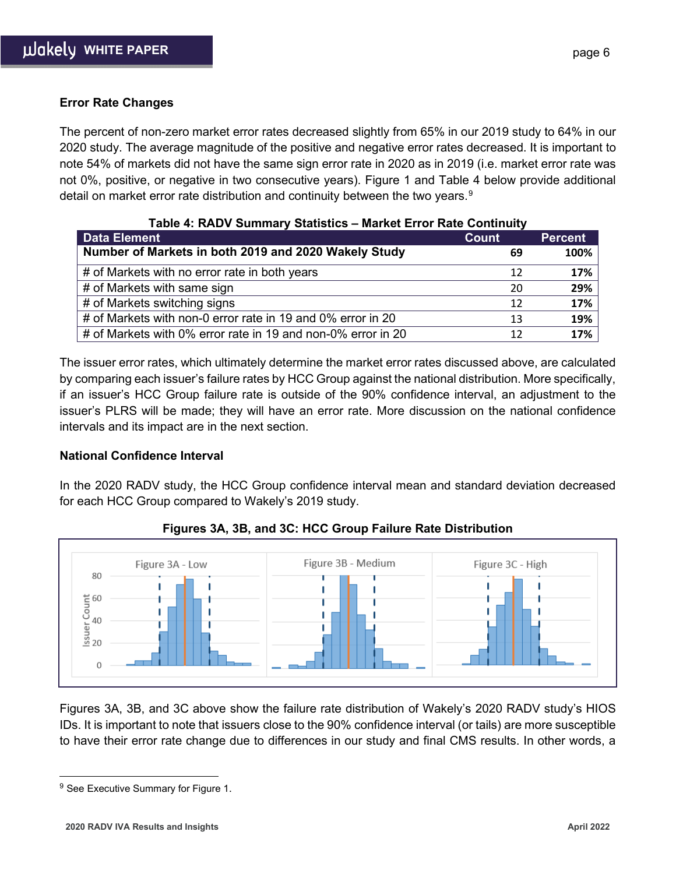### **Error Rate Changes**

The percent of non-zero market error rates decreased slightly from 65% in our 2019 study to 64% in our 2020 study. The average magnitude of the positive and negative error rates decreased. It is important to note 54% of markets did not have the same sign error rate in 2020 as in 2019 (i.e. market error rate was not 0%, positive, or negative in two consecutive years). Figure 1 and Table 4 below provide additional detail on market error rate distribution and continuity between the two years.<sup>[9](#page-5-0)</sup>

| Table 4: RADV Summary Statistics - Market Error Rate Continuity |              |                |  |  |  |  |  |
|-----------------------------------------------------------------|--------------|----------------|--|--|--|--|--|
| <b>Data Element</b>                                             | <b>Count</b> | <b>Percent</b> |  |  |  |  |  |
| Number of Markets in both 2019 and 2020 Wakely Study            | 69           | 100%           |  |  |  |  |  |
| # of Markets with no error rate in both years                   | 12           | 17%            |  |  |  |  |  |
| # of Markets with same sign                                     | 20           | 29%            |  |  |  |  |  |
| # of Markets switching signs                                    | 12           | 17%            |  |  |  |  |  |
| # of Markets with non-0 error rate in 19 and 0% error in 20     | 13           | 19%            |  |  |  |  |  |
| # of Markets with 0% error rate in 19 and non-0% error in 20    | 12           | 17%            |  |  |  |  |  |

The issuer error rates, which ultimately determine the market error rates discussed above, are calculated by comparing each issuer's failure rates by HCC Group against the national distribution. More specifically, if an issuer's HCC Group failure rate is outside of the 90% confidence interval, an adjustment to the issuer's PLRS will be made; they will have an error rate. More discussion on the national confidence intervals and its impact are in the next section.

#### **National Confidence Interval**

In the 2020 RADV study, the HCC Group confidence interval mean and standard deviation decreased for each HCC Group compared to Wakely's 2019 study.



**Figures 3A, 3B, and 3C: HCC Group Failure Rate Distribution**

Figures 3A, 3B, and 3C above show the failure rate distribution of Wakely's 2020 RADV study's HIOS IDs. It is important to note that issuers close to the 90% confidence interval (or tails) are more susceptible to have their error rate change due to differences in our study and final CMS results. In other words, a

<span id="page-5-0"></span><sup>&</sup>lt;sup>9</sup> See Executive Summary for Figure 1.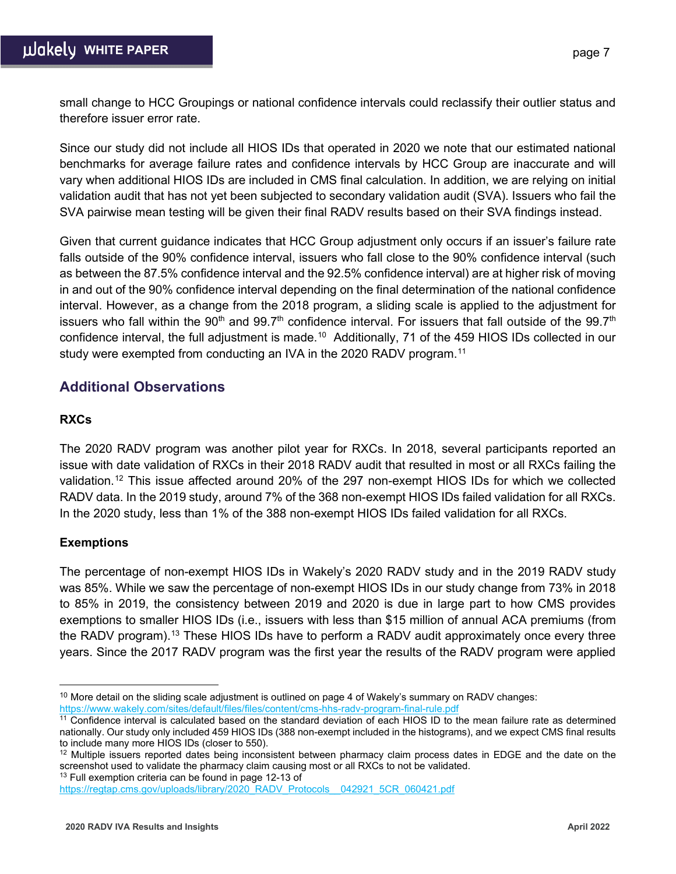small change to HCC Groupings or national confidence intervals could reclassify their outlier status and therefore issuer error rate.

Since our study did not include all HIOS IDs that operated in 2020 we note that our estimated national benchmarks for average failure rates and confidence intervals by HCC Group are inaccurate and will vary when additional HIOS IDs are included in CMS final calculation. In addition, we are relying on initial validation audit that has not yet been subjected to secondary validation audit (SVA). Issuers who fail the SVA pairwise mean testing will be given their final RADV results based on their SVA findings instead.

Given that current guidance indicates that HCC Group adjustment only occurs if an issuer's failure rate falls outside of the 90% confidence interval, issuers who fall close to the 90% confidence interval (such as between the 87.5% confidence interval and the 92.5% confidence interval) are at higher risk of moving in and out of the 90% confidence interval depending on the final determination of the national confidence interval. However, as a change from the 2018 program, a sliding scale is applied to the adjustment for issuers who fall within the 90<sup>th</sup> and 99.7<sup>th</sup> confidence interval. For issuers that fall outside of the 99.7<sup>th</sup> confidence interval, the full adjustment is made.<sup>10</sup> Additionally, 71 of the 459 HIOS IDs collected in our study were exempted from conducting an IVA in the 2020 RADV program.<sup>[11](#page-6-1)</sup>

## **Additional Observations**

## **RXCs**

The 2020 RADV program was another pilot year for RXCs. In 2018, several participants reported an issue with date validation of RXCs in their 2018 RADV audit that resulted in most or all RXCs failing the validation.[12](#page-6-2) This issue affected around 20% of the 297 non-exempt HIOS IDs for which we collected RADV data. In the 2019 study, around 7% of the 368 non-exempt HIOS IDs failed validation for all RXCs. In the 2020 study, less than 1% of the 388 non-exempt HIOS IDs failed validation for all RXCs.

## **Exemptions**

The percentage of non-exempt HIOS IDs in Wakely's 2020 RADV study and in the 2019 RADV study was 85%. While we saw the percentage of non-exempt HIOS IDs in our study change from 73% in 2018 to 85% in 2019, the consistency between 2019 and 2020 is due in large part to how CMS provides exemptions to smaller HIOS IDs (i.e., issuers with less than \$15 million of annual ACA premiums (from the RADV program).<sup>[13](#page-6-3)</sup> These HIOS IDs have to perform a RADV audit approximately once every three years. Since the 2017 RADV program was the first year the results of the RADV program were applied

<span id="page-6-0"></span> $10$ More detail on the sliding scale adjustment is outlined on page 4 of Wakely's summary on RADV changes: <https://www.wakely.com/sites/default/files/files/content/cms-hhs-radv-program-final-rule.pdf>

<span id="page-6-1"></span><sup>11</sup> Confidence interval is calculated based on the standard deviation of each HIOS ID to the mean failure rate as determined nationally. Our study only included 459 HIOS IDs (388 non-exempt included in the histograms), and we expect CMS final results to include many more HIOS IDs (closer to 550).

<span id="page-6-2"></span> $12$  Multiple issuers reported dates being inconsistent between pharmacy claim process dates in EDGE and the date on the screenshot used to validate the pharmacy claim causing most or all RXCs to not be validated.

<span id="page-6-3"></span><sup>&</sup>lt;sup>13</sup> Full exemption criteria can be found in page 12-13 of https://regtap.cms.gov/uploads/library/2020\_RADV\_Protocols \_042921\_5CR\_060421.pdf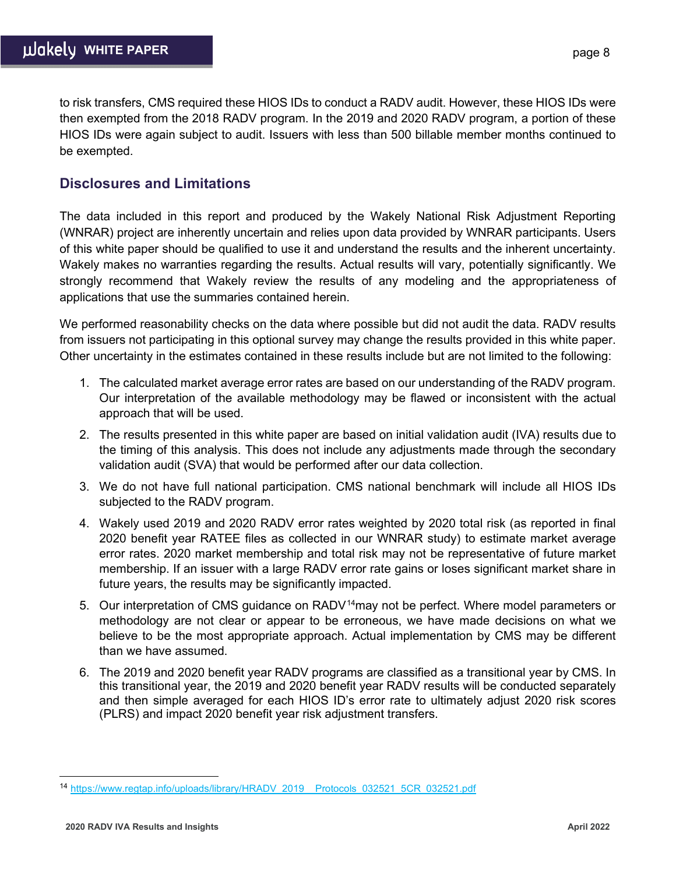to risk transfers, CMS required these HIOS IDs to conduct a RADV audit. However, these HIOS IDs were then exempted from the 2018 RADV program. In the 2019 and 2020 RADV program, a portion of these HIOS IDs were again subject to audit. Issuers with less than 500 billable member months continued to be exempted.

## **Disclosures and Limitations**

The data included in this report and produced by the Wakely National Risk Adjustment Reporting (WNRAR) project are inherently uncertain and relies upon data provided by WNRAR participants. Users of this white paper should be qualified to use it and understand the results and the inherent uncertainty. Wakely makes no warranties regarding the results. Actual results will vary, potentially significantly. We strongly recommend that Wakely review the results of any modeling and the appropriateness of applications that use the summaries contained herein.

We performed reasonability checks on the data where possible but did not audit the data. RADV results from issuers not participating in this optional survey may change the results provided in this white paper. Other uncertainty in the estimates contained in these results include but are not limited to the following:

- 1. The calculated market average error rates are based on our understanding of the RADV program. Our interpretation of the available methodology may be flawed or inconsistent with the actual approach that will be used.
- 2. The results presented in this white paper are based on initial validation audit (IVA) results due to the timing of this analysis. This does not include any adjustments made through the secondary validation audit (SVA) that would be performed after our data collection.
- 3. We do not have full national participation. CMS national benchmark will include all HIOS IDs subjected to the RADV program.
- 4. Wakely used 2019 and 2020 RADV error rates weighted by 2020 total risk (as reported in final 2020 benefit year RATEE files as collected in our WNRAR study) to estimate market average error rates. 2020 market membership and total risk may not be representative of future market membership. If an issuer with a large RADV error rate gains or loses significant market share in future years, the results may be significantly impacted.
- 5. Our interpretation of CMS guidance on RADV<sup>14</sup>may not be perfect. Where model parameters or methodology are not clear or appear to be erroneous, we have made decisions on what we believe to be the most appropriate approach. Actual implementation by CMS may be different than we have assumed.
- 6. The 2019 and 2020 benefit year RADV programs are classified as a transitional year by CMS. In this transitional year, the 2019 and 2020 benefit year RADV results will be conducted separately and then simple averaged for each HIOS ID's error rate to ultimately adjust 2020 risk scores (PLRS) and impact 2020 benefit year risk adjustment transfers.

<span id="page-7-0"></span><sup>14</sup> [https://www.regtap.info/uploads/library/HRADV\\_2019\\_\\_Protocols\\_032521\\_5CR\\_032521.pdf](https://www.regtap.info/uploads/library/HRADV_2019__Protocols_032521_5CR_032521.pdf)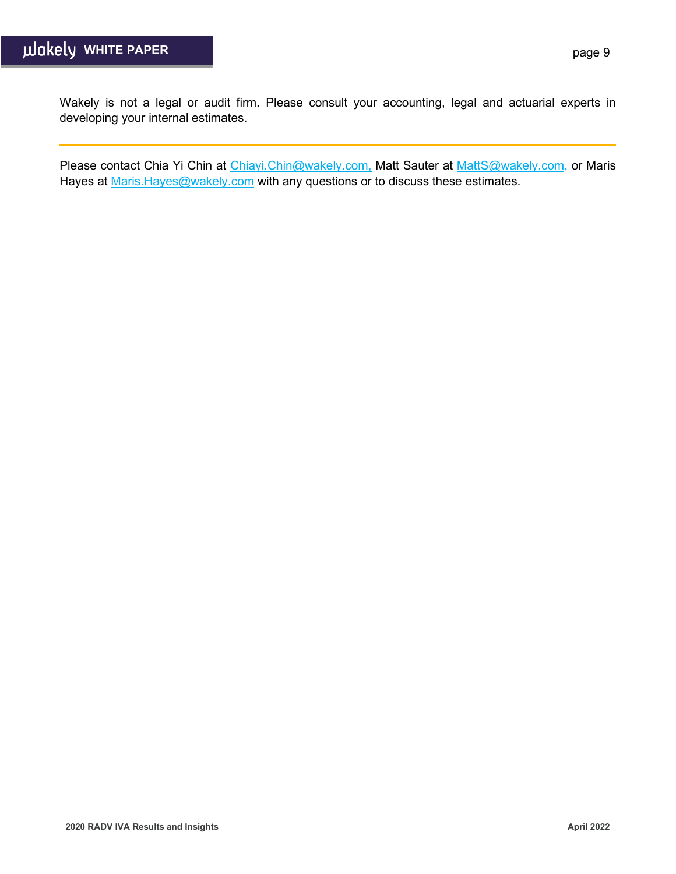Wakely is not a legal or audit firm. Please consult your accounting, legal and actuarial experts in developing your internal estimates.

Please contact Chia Yi Chin at [Chiayi.Chin@wakely.com,](mailto:Chiayi.Chin@wakely.com) Matt Sauter at [MattS@wakely.com,](mailto:MattS@wakely.com) or Maris Hayes at Maris. Hayes@wakely.com with any questions or to discuss these estimates.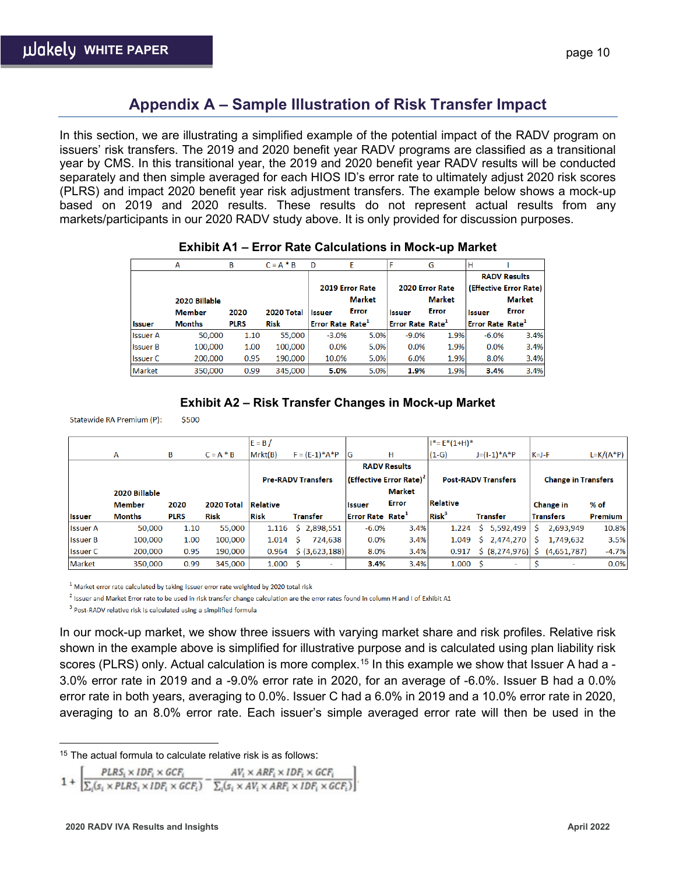## **Appendix A – Sample Illustration of Risk Transfer Impact**

In this section, we are illustrating a simplified example of the potential impact of the RADV program on issuers' risk transfers. The 2019 and 2020 benefit year RADV programs are classified as a transitional year by CMS. In this transitional year, the 2019 and 2020 benefit year RADV results will be conducted separately and then simple averaged for each HIOS ID's error rate to ultimately adjust 2020 risk scores (PLRS) and impact 2020 benefit year risk adjustment transfers. The example below shows a mock-up based on 2019 and 2020 results. These results do not represent actual results from any markets/participants in our 2020 RADV study above. It is only provided for discussion purposes.

|                 | А             | В           | $C = A * B$ | D                            | E               |                              | G               | н                            |                        |
|-----------------|---------------|-------------|-------------|------------------------------|-----------------|------------------------------|-----------------|------------------------------|------------------------|
|                 |               |             |             |                              |                 |                              |                 |                              | <b>RADV Results</b>    |
|                 |               |             |             |                              | 2019 Error Rate |                              | 2020 Error Rate |                              | (Effective Error Rate) |
|                 | 2020 Billable |             |             |                              | Market          |                              | <b>Market</b>   |                              | <b>Market</b>          |
|                 | <b>Member</b> | 2020        | 2020 Total  | <b>Issuer</b>                | Error           | <b>Issuer</b>                | Error           | <b>Issuer</b>                | <b>Error</b>           |
| <b>Issuer</b>   | <b>Months</b> | <b>PLRS</b> | Risk        | Error Rate Rate <sup>1</sup> |                 | Error Rate Rate <sup>1</sup> |                 | Error Rate Rate <sup>1</sup> |                        |
| <b>Issuer A</b> | 50,000        | 1.10        | 55,000      | $-3.0%$                      | 5.0%            | $-9.0%$                      | 1.9%            | $-6.0%$                      | 3.4%                   |
| <b>Issuer B</b> | 100,000       | 1.00        | 100,000     | 0.0%                         | 5.0%            | 0.0%                         | 1.9%            | 0.0%                         | 3.4%                   |
| <b>Issuer C</b> | 200,000       | 0.95        | 190,000     | 10.0%                        | 5.0%            | 6.0%                         | 1.9%            | 8.0%                         | 3.4%                   |
| Market          | 350,000       |             |             |                              |                 |                              |                 |                              | 3.4%                   |

#### **Exhibit A2 – Risk Transfer Changes in Mock-up Market**

Statewide RA Premium (P): \$500

|                 |               |             |             | $E = B/$        |                                          |                                    |                                     | $I^* = E^*(1+H)^*$      |                            |                            |                |
|-----------------|---------------|-------------|-------------|-----------------|------------------------------------------|------------------------------------|-------------------------------------|-------------------------|----------------------------|----------------------------|----------------|
|                 | A             | B           | $C = A * B$ | Mrkt(B)         | $F = (E-1)*A*P$                          | G                                  | н                                   | $(1-G)$                 | $J=(I-1)*A*P$              | $K = J - F$                | $L=K/(A*P)$    |
|                 |               |             |             |                 |                                          |                                    | <b>RADV Results</b>                 |                         |                            |                            |                |
|                 |               |             |             |                 | <b>Pre-RADV Transfers</b>                |                                    | (Effective Error Rate) <sup>2</sup> |                         | <b>Post-RADV Transfers</b> | <b>Change in Transfers</b> |                |
|                 | 2020 Billable |             |             |                 |                                          |                                    | Market                              |                         |                            |                            |                |
|                 | <b>Member</b> | 2020        | 2020 Total  | <b>Relative</b> |                                          | <b>Issuer</b>                      | <b>Error</b>                        | Relative                |                            | <b>Change in</b>           | $%$ of         |
| <b>Issuer</b>   | <b>Months</b> | <b>PLRS</b> | <b>Risk</b> | <b>Risk</b>     | Transfer                                 | <b>Error Rate Rate<sup>1</sup></b> |                                     | <b>Risk<sup>3</sup></b> | <b>Transfer</b>            | <b>Transfers</b>           | <b>Premium</b> |
| l Issuer A      | 50,000        | 1.10        | 55,000      | 1.116           | \$2,898,551                              | $-6.0%$                            | 3.4%                                | 1.224                   | 5,592,499<br>Ŝ.            | 2,693,949<br>S             | 10.8%          |
| <b>Issuer B</b> | 100.000       | 1.00        | 100.000     | 1.014           | 724,638<br>- Ś                           | 0.0%                               | 3.4%                                | 1.049                   | \$2,474,270                | 1,749,632                  | 3.5%           |
| <b>Issuer C</b> | 200,000       | 0.95        | 190.000     | 0.964           | $\left  \frac{1}{2} \right $ (3,623,188) | 8.0%                               | 3.4%                                | 0.917                   | \$ (8,274,976)             | (4,651,787)                | $-4.7%$        |
| Market          | 350,000       | 0.99        | 345,000     | 1.000S          | ٠                                        | 3.4%                               | 3.4%                                | 1.000                   | $\overline{\phantom{a}}$   |                            | 0.0%           |

 $^1$  Market error rate calculated by taking issuer error rate weighted by 2020 total risk

<sup>2</sup> Issuer and Market Error rate to be used in risk transfer change calculation are the error rates found in column H and I of Exhibit A1

<sup>3</sup> Post-RADV relative risk is calculated using a simplified formula

In our mock-up market, we show three issuers with varying market share and risk profiles. Relative risk shown in the example above is simplified for illustrative purpose and is calculated using plan liability risk scores (PLRS) only. Actual calculation is more complex.<sup>[15](#page-9-0)</sup> In this example we show that Issuer A had a -3.0% error rate in 2019 and a -9.0% error rate in 2020, for an average of -6.0%. Issuer B had a 0.0% error rate in both years, averaging to 0.0%. Issuer C had a 6.0% in 2019 and a 10.0% error rate in 2020, averaging to an 8.0% error rate. Each issuer's simple averaged error rate will then be used in the

$$
PLRS_i \times IDF_i \times GCF_i \qquad AV_i \times ARP_i \times IDF_i \times GCF_i
$$

1 +  $\sqrt{\sum_i (s_i \times PLRS_i \times IDF_i \times GCF_i)} - \frac{\sum_i (s_i \times AV_i \times ARP_i \times IDF_i \times GCF_i)}{\sum_i (s_i \times AV_i \times ARP_i \times IDF_i \times GCF_i)}$ 

<span id="page-9-0"></span><sup>15</sup> The actual formula to calculate relative risk is as follows: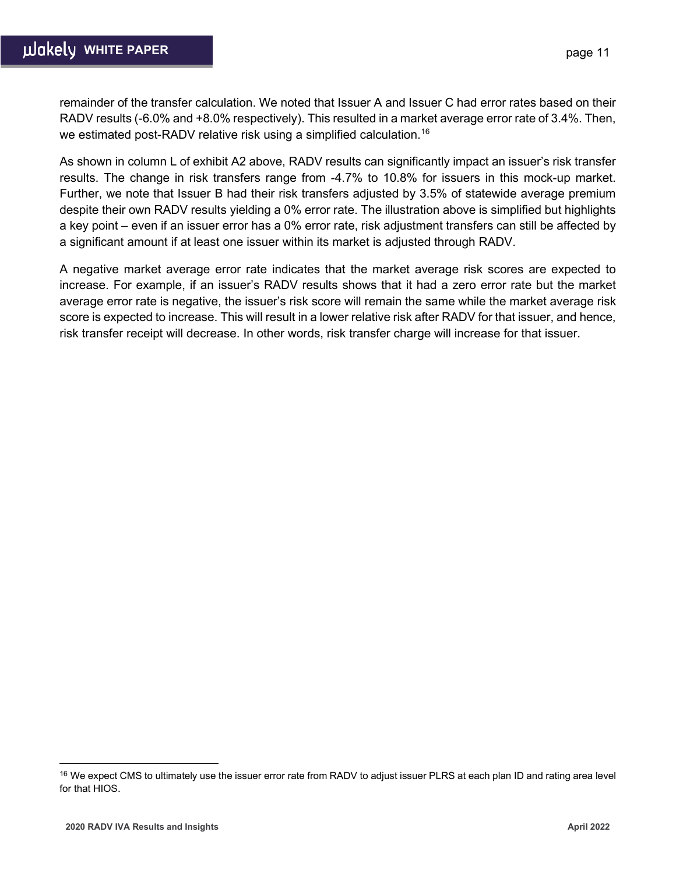remainder of the transfer calculation. We noted that Issuer A and Issuer C had error rates based on their RADV results (-6.0% and +8.0% respectively). This resulted in a market average error rate of 3.4%. Then, we estimated post-RADV relative risk using a simplified calculation.<sup>[16](#page-10-0)</sup>

As shown in column L of exhibit A2 above, RADV results can significantly impact an issuer's risk transfer results. The change in risk transfers range from -4.7% to 10.8% for issuers in this mock-up market. Further, we note that Issuer B had their risk transfers adjusted by 3.5% of statewide average premium despite their own RADV results yielding a 0% error rate. The illustration above is simplified but highlights a key point – even if an issuer error has a 0% error rate, risk adjustment transfers can still be affected by a significant amount if at least one issuer within its market is adjusted through RADV.

A negative market average error rate indicates that the market average risk scores are expected to increase. For example, if an issuer's RADV results shows that it had a zero error rate but the market average error rate is negative, the issuer's risk score will remain the same while the market average risk score is expected to increase. This will result in a lower relative risk after RADV for that issuer, and hence, risk transfer receipt will decrease. In other words, risk transfer charge will increase for that issuer.

<span id="page-10-0"></span><sup>&</sup>lt;sup>16</sup> We expect CMS to ultimately use the issuer error rate from RADV to adjust issuer PLRS at each plan ID and rating area level for that HIOS.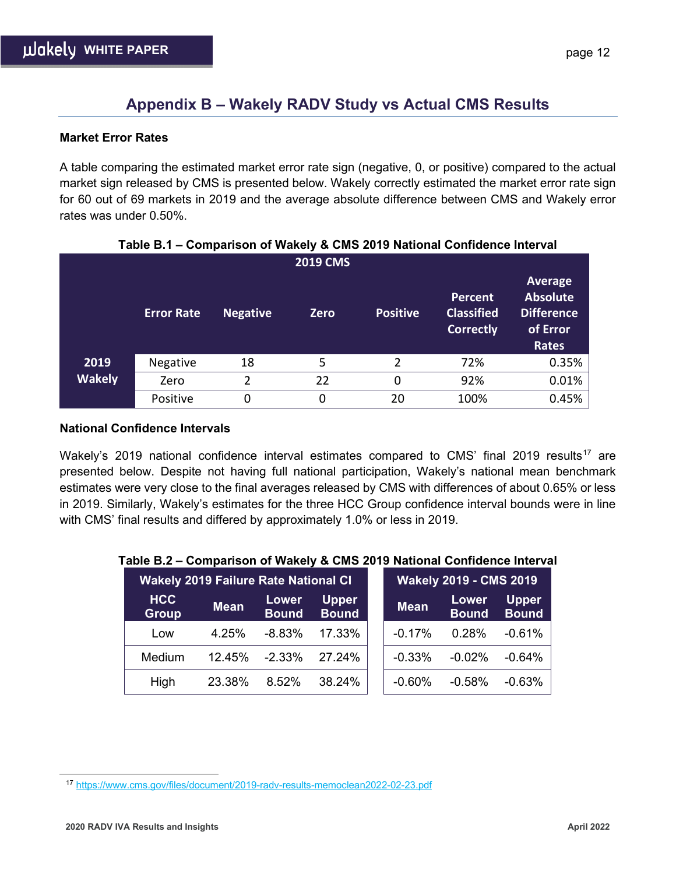## **Appendix B – Wakely RADV Study vs Actual CMS Results**

### **Market Error Rates**

A table comparing the estimated market error rate sign (negative, 0, or positive) compared to the actual market sign released by CMS is presented below. Wakely correctly estimated the market error rate sign for 60 out of 69 markets in 2019 and the average absolute difference between CMS and Wakely error rates was under 0.50%.

|               |                   |                 | -               |                 |                                                         |                                                                                    |
|---------------|-------------------|-----------------|-----------------|-----------------|---------------------------------------------------------|------------------------------------------------------------------------------------|
|               |                   |                 | <b>2019 CMS</b> |                 |                                                         |                                                                                    |
|               | <b>Error Rate</b> | <b>Negative</b> | <b>Zero</b>     | <b>Positive</b> | <b>Percent</b><br><b>Classified</b><br><b>Correctly</b> | <b>Average</b><br><b>Absolute</b><br><b>Difference</b><br>of Error<br><b>Rates</b> |
| 2019          | <b>Negative</b>   | 18              | 5               | $\overline{2}$  | 72%                                                     | 0.35%                                                                              |
| <b>Wakely</b> | Zero              | 2               | 22              | 0               | 92%                                                     | 0.01%                                                                              |
|               | Positive          | 0               | 0               | 20              | 100%                                                    | 0.45%                                                                              |

## **Table B.1 – Comparison of Wakely & CMS 2019 National Confidence Interval**

#### **National Confidence Intervals**

Wakely's 2019 national confidence interval estimates compared to CMS' final 2019 results<sup>[17](#page-11-0)</sup> are presented below. Despite not having full national participation, Wakely's national mean benchmark estimates were very close to the final averages released by CMS with differences of about 0.65% or less in 2019. Similarly, Wakely's estimates for the three HCC Group confidence interval bounds were in line with CMS' final results and differed by approximately 1.0% or less in 2019.

| .                          | <u>UURAHUUN U TTURUT W UMU EUTU RUUUNIU UURINUUU MICHTU</u> |                       |                               |             |                       |                              |
|----------------------------|-------------------------------------------------------------|-----------------------|-------------------------------|-------------|-----------------------|------------------------------|
|                            | <b>Wakely 2019 Failure Rate National CI</b>                 |                       | <b>Wakely 2019 - CMS 2019</b> |             |                       |                              |
| <b>HCC</b><br><b>Group</b> | <b>Mean</b>                                                 | Lower<br><b>Bound</b> | <b>Upper</b><br><b>Bound</b>  | <b>Mean</b> | Lower<br><b>Bound</b> | <b>Upper</b><br><b>Bound</b> |
| Low                        | 4.25%                                                       | $-8.83%$              | 17.33%                        | $-0.17%$    | 0.28%                 | $-0.61%$                     |
| Medium                     | 12.45%                                                      | $-2.33%$              | 27.24%                        | $-0.33%$    | $-0.02%$              | $-0.64%$                     |
| High                       | 23.38%                                                      | 8.52%                 | 38.24%                        | $-0.60%$    | $-0.58%$              | $-0.63%$                     |

### **Table B.2 – Comparison of Wakely & CMS 2019 National Confidence Interval**

<span id="page-11-0"></span><sup>17</sup> <https://www.cms.gov/files/document/2019-radv-results-memoclean2022-02-23.pdf>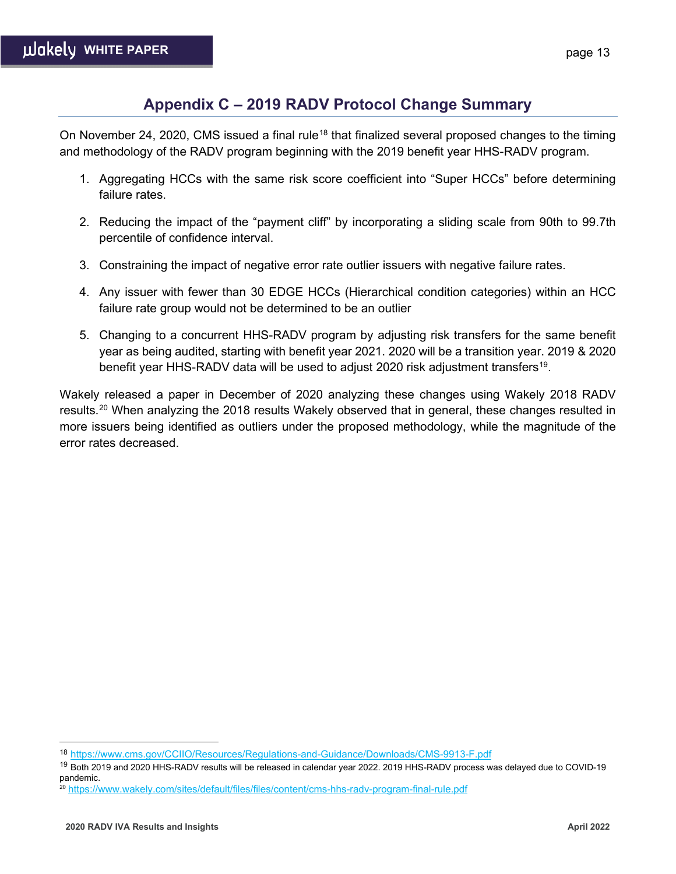## **Appendix C – 2019 RADV Protocol Change Summary**

On November 24, 2020, CMS issued a final rule<sup>[18](#page-12-0)</sup> that finalized several proposed changes to the timing and methodology of the RADV program beginning with the 2019 benefit year HHS-RADV program.

- 1. Aggregating HCCs with the same risk score coefficient into "Super HCCs" before determining failure rates.
- 2. Reducing the impact of the "payment cliff" by incorporating a sliding scale from 90th to 99.7th percentile of confidence interval.
- 3. Constraining the impact of negative error rate outlier issuers with negative failure rates.
- 4. Any issuer with fewer than 30 EDGE HCCs (Hierarchical condition categories) within an HCC failure rate group would not be determined to be an outlier
- 5. Changing to a concurrent HHS-RADV program by adjusting risk transfers for the same benefit year as being audited, starting with benefit year 2021. 2020 will be a transition year. 2019 & 2020 benefit year HHS-RADV data will be used to adjust 2020 risk adjustment transfers<sup>[19](#page-12-1)</sup>.

Wakely released a paper in December of 2020 analyzing these changes using Wakely 2018 RADV results.<sup>[20](#page-12-2)</sup> When analyzing the 2018 results Wakely observed that in general, these changes resulted in more issuers being identified as outliers under the proposed methodology, while the magnitude of the error rates decreased.

<span id="page-12-0"></span><sup>18</sup> <https://www.cms.gov/CCIIO/Resources/Regulations-and-Guidance/Downloads/CMS-9913-F.pdf>

<span id="page-12-1"></span><sup>&</sup>lt;sup>19</sup> Both 2019 and 2020 HHS-RADV results will be released in calendar year 2022. 2019 HHS-RADV process was delayed due to COVID-19 pandemic.

<span id="page-12-2"></span><sup>20</sup> <https://www.wakely.com/sites/default/files/files/content/cms-hhs-radv-program-final-rule.pdf>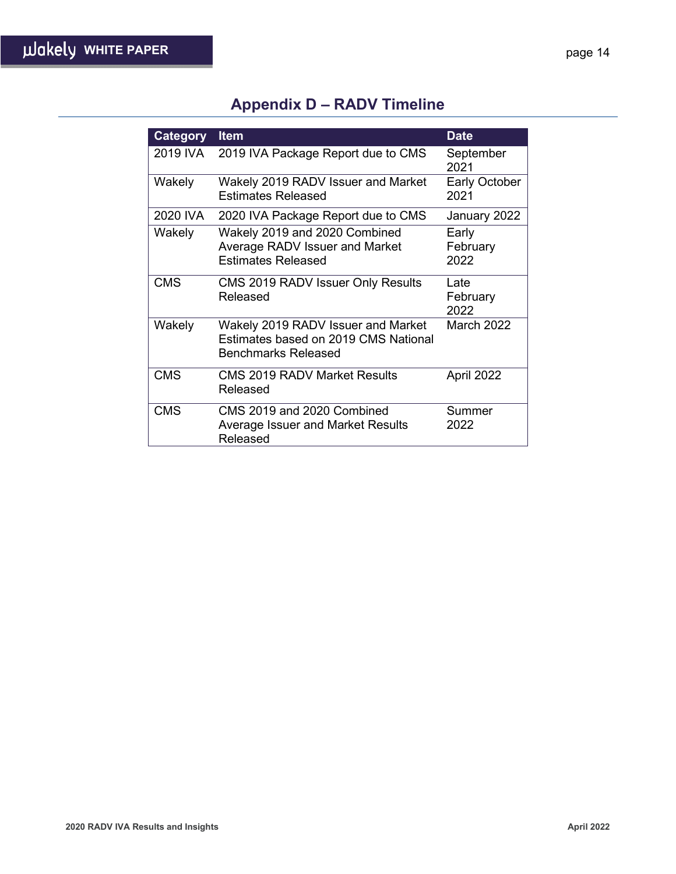# **Appendix D – RADV Timeline**

| <b>Category</b> | <b>Item</b>                                                                                       | <b>Date</b>                  |
|-----------------|---------------------------------------------------------------------------------------------------|------------------------------|
| 2019 IVA        | 2019 IVA Package Report due to CMS                                                                | September<br>2021            |
| Wakely          | Wakely 2019 RADV Issuer and Market<br><b>Estimates Released</b>                                   | <b>Early October</b><br>2021 |
| 2020 IVA        | 2020 IVA Package Report due to CMS                                                                | January 2022                 |
| Wakely          | Wakely 2019 and 2020 Combined<br>Average RADV Issuer and Market<br><b>Estimates Released</b>      | Early<br>February<br>2022    |
| <b>CMS</b>      | CMS 2019 RADV Issuer Only Results<br>Released                                                     | Late<br>February<br>2022     |
| Wakely          | Wakely 2019 RADV Issuer and Market<br>Estimates based on 2019 CMS National<br>Benchmarks Released | March 2022                   |
| <b>CMS</b>      | <b>CMS 2019 RADV Market Results</b><br>Released                                                   | April 2022                   |
| <b>CMS</b>      | CMS 2019 and 2020 Combined<br>Average Issuer and Market Results<br>Released                       | Summer<br>2022               |